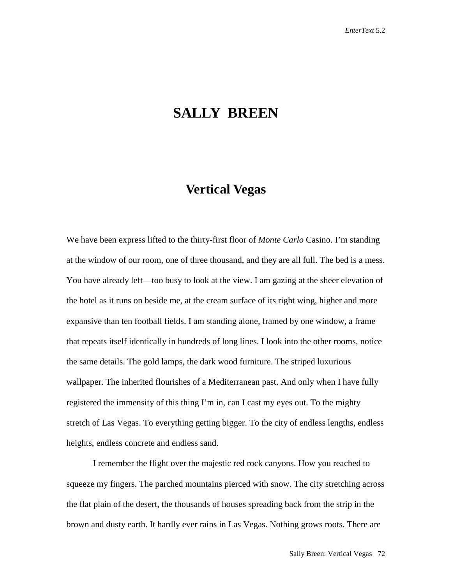## **SALLY BREEN**

## **Vertical Vegas**

We have been express lifted to the thirty-first floor of *Monte Carlo* Casino. I'm standing at the window of our room, one of three thousand, and they are all full. The bed is a mess. You have already left—too busy to look at the view. I am gazing at the sheer elevation of the hotel as it runs on beside me, at the cream surface of its right wing, higher and more expansive than ten football fields. I am standing alone, framed by one window, a frame that repeats itself identically in hundreds of long lines. I look into the other rooms, notice the same details. The gold lamps, the dark wood furniture. The striped luxurious wallpaper. The inherited flourishes of a Mediterranean past. And only when I have fully registered the immensity of this thing I'm in, can I cast my eyes out. To the mighty stretch of Las Vegas. To everything getting bigger. To the city of endless lengths, endless heights, endless concrete and endless sand.

I remember the flight over the majestic red rock canyons. How you reached to squeeze my fingers. The parched mountains pierced with snow. The city stretching across the flat plain of the desert, the thousands of houses spreading back from the strip in the brown and dusty earth. It hardly ever rains in Las Vegas. Nothing grows roots. There are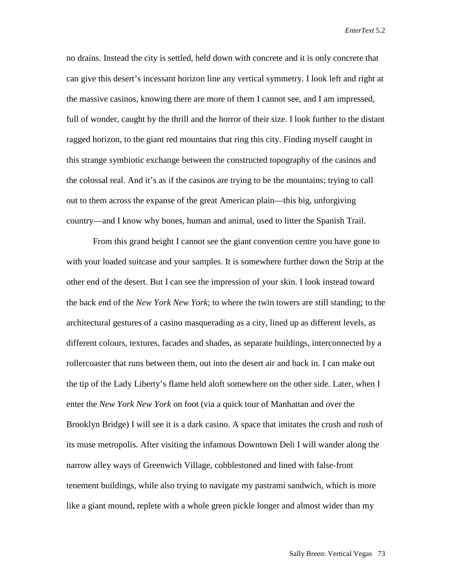no drains. Instead the city is settled, held down with concrete and it is only concrete that can give this desert's incessant horizon line any vertical symmetry. I look left and right at the massive casinos, knowing there are more of them I cannot see, and I am impressed, full of wonder, caught by the thrill and the horror of their size. I look further to the distant ragged horizon, to the giant red mountains that ring this city. Finding myself caught in this strange symbiotic exchange between the constructed topography of the casinos and the colossal real. And it's as if the casinos are trying to be the mountains; trying to call out to them across the expanse of the great American plain—this big, unforgiving country—and I know why bones, human and animal, used to litter the Spanish Trail.

From this grand height I cannot see the giant convention centre you have gone to with your loaded suitcase and your samples. It is somewhere further down the Strip at the other end of the desert. But I can see the impression of your skin. I look instead toward the back end of the *New York New York*; to where the twin towers are still standing; to the architectural gestures of a casino masquerading as a city, lined up as different levels, as different colours, textures, facades and shades, as separate buildings, interconnected by a rollercoaster that runs between them, out into the desert air and back in. I can make out the tip of the Lady Liberty's flame held aloft somewhere on the other side. Later, when I enter the *New York New York* on foot (via a quick tour of Manhattan and over the Brooklyn Bridge) I will see it is a dark casino. A space that imitates the crush and rush of its muse metropolis. After visiting the infamous Downtown Deli I will wander along the narrow alley ways of Greenwich Village, cobblestoned and lined with false-front tenement buildings, while also trying to navigate my pastrami sandwich, which is more like a giant mound, replete with a whole green pickle longer and almost wider than my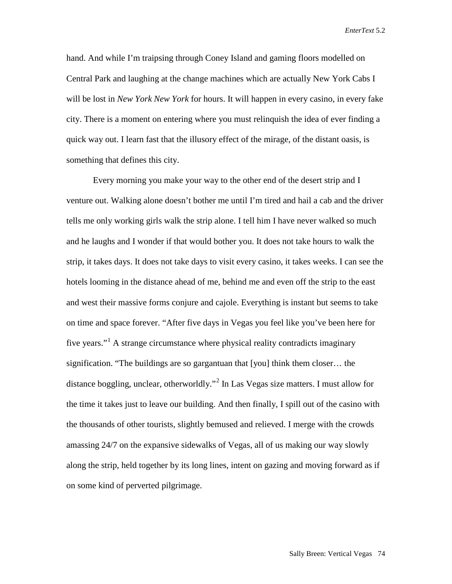hand. And while I'm traipsing through Coney Island and gaming floors modelled on Central Park and laughing at the change machines which are actually New York Cabs I will be lost in *New York New York* for hours. It will happen in every casino, in every fake city. There is a moment on entering where you must relinquish the idea of ever finding a quick way out. I learn fast that the illusory effect of the mirage, of the distant oasis, is something that defines this city.

Every morning you make your way to the other end of the desert strip and I venture out. Walking alone doesn't bother me until I'm tired and hail a cab and the driver tells me only working girls walk the strip alone. I tell him I have never walked so much and he laughs and I wonder if that would bother you. It does not take hours to walk the strip, it takes days. It does not take days to visit every casino, it takes weeks. I can see the hotels looming in the distance ahead of me, behind me and even off the strip to the east and west their massive forms conjure and cajole. Everything is instant but seems to take on time and space forever. "After five days in Vegas you feel like you've been here for five years."<sup>[1](#page-5-0)</sup> A strange circumstance where physical reality contradicts imaginary signification. "The buildings are so gargantuan that [you] think them closer… the distance boggling, unclear, otherworldly."[2](#page-5-1) In Las Vegas size matters. I must allow for the time it takes just to leave our building. And then finally, I spill out of the casino with the thousands of other tourists, slightly bemused and relieved. I merge with the crowds amassing 24/7 on the expansive sidewalks of Vegas, all of us making our way slowly along the strip, held together by its long lines, intent on gazing and moving forward as if on some kind of perverted pilgrimage.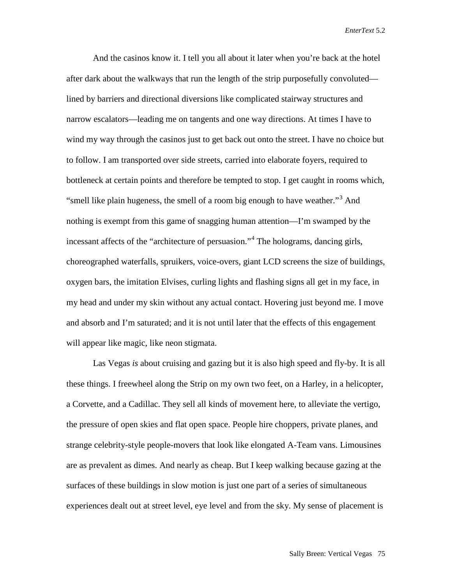And the casinos know it. I tell you all about it later when you're back at the hotel after dark about the walkways that run the length of the strip purposefully convoluted lined by barriers and directional diversions like complicated stairway structures and narrow escalators—leading me on tangents and one way directions. At times I have to wind my way through the casinos just to get back out onto the street. I have no choice but to follow. I am transported over side streets, carried into elaborate foyers, required to bottleneck at certain points and therefore be tempted to stop. I get caught in rooms which, "smell like plain hugeness, the smell of a room big enough to have weather."<sup>[3](#page-5-2)</sup> And nothing is exempt from this game of snagging human attention—I'm swamped by the incessant affects of the "architecture of persuasion."[4](#page-5-3) The holograms, dancing girls, choreographed waterfalls, spruikers, voice-overs, giant LCD screens the size of buildings, oxygen bars, the imitation Elvises, curling lights and flashing signs all get in my face, in my head and under my skin without any actual contact. Hovering just beyond me. I move and absorb and I'm saturated; and it is not until later that the effects of this engagement will appear like magic, like neon stigmata.

Las Vegas *is* about cruising and gazing but it is also high speed and fly-by. It is all these things. I freewheel along the Strip on my own two feet, on a Harley, in a helicopter, a Corvette, and a Cadillac. They sell all kinds of movement here, to alleviate the vertigo, the pressure of open skies and flat open space. People hire choppers, private planes, and strange celebrity-style people-movers that look like elongated A-Team vans. Limousines are as prevalent as dimes. And nearly as cheap. But I keep walking because gazing at the surfaces of these buildings in slow motion is just one part of a series of simultaneous experiences dealt out at street level, eye level and from the sky. My sense of placement is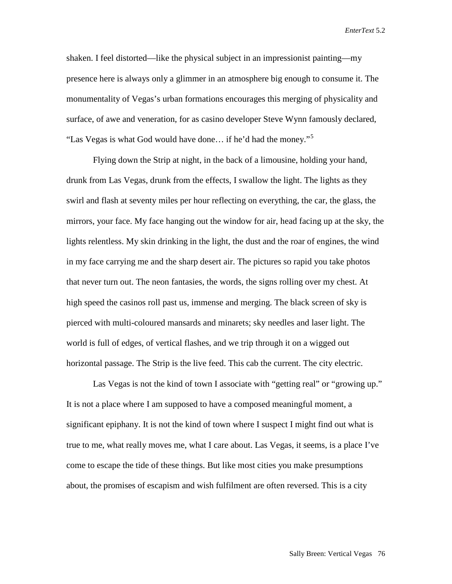shaken. I feel distorted—like the physical subject in an impressionist painting—my presence here is always only a glimmer in an atmosphere big enough to consume it. The monumentality of Vegas's urban formations encourages this merging of physicality and surface, of awe and veneration, for as casino developer Steve Wynn famously declared, "Las Vegas is what God would have done... if he'd had the money."<sup>[5](#page-5-4)</sup>

Flying down the Strip at night, in the back of a limousine, holding your hand, drunk from Las Vegas, drunk from the effects, I swallow the light. The lights as they swirl and flash at seventy miles per hour reflecting on everything, the car, the glass, the mirrors, your face. My face hanging out the window for air, head facing up at the sky, the lights relentless. My skin drinking in the light, the dust and the roar of engines, the wind in my face carrying me and the sharp desert air. The pictures so rapid you take photos that never turn out. The neon fantasies, the words, the signs rolling over my chest. At high speed the casinos roll past us, immense and merging. The black screen of sky is pierced with multi-coloured mansards and minarets; sky needles and laser light. The world is full of edges, of vertical flashes, and we trip through it on a wigged out horizontal passage. The Strip is the live feed. This cab the current. The city electric.

Las Vegas is not the kind of town I associate with "getting real" or "growing up." It is not a place where I am supposed to have a composed meaningful moment, a significant epiphany. It is not the kind of town where I suspect I might find out what is true to me, what really moves me, what I care about. Las Vegas, it seems, is a place I've come to escape the tide of these things. But like most cities you make presumptions about, the promises of escapism and wish fulfilment are often reversed. This is a city